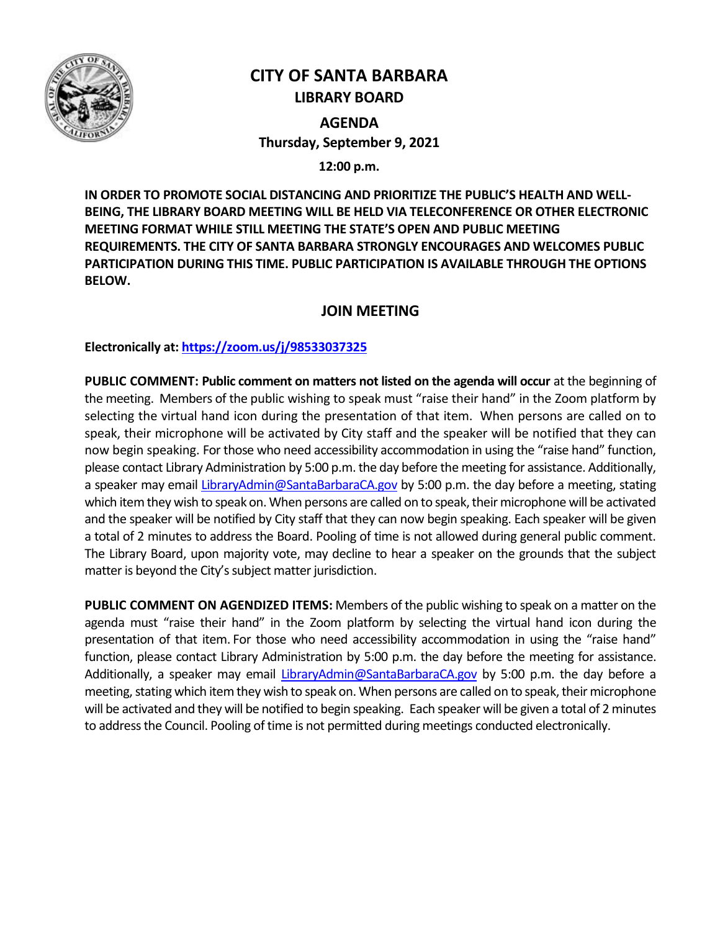

# **CITY OF SANTA BARBARA LIBRARY BOARD**

**AGENDA Thursday, September 9, 2021**

**12:00 p.m.**

**IN ORDER TO PROMOTE SOCIAL DISTANCING AND PRIORITIZE THE PUBLIC'S HEALTH AND WELL-BEING, THE LIBRARY BOARD MEETING WILL BE HELD VIA TELECONFERENCE OR OTHER ELECTRONIC MEETING FORMAT WHILE STILL MEETING THE STATE'S OPEN AND PUBLIC MEETING REQUIREMENTS. THE CITY OF SANTA BARBARA STRONGLY ENCOURAGES AND WELCOMES PUBLIC PARTICIPATION DURING THIS TIME. PUBLIC PARTICIPATION IS AVAILABLE THROUGH THE OPTIONS BELOW.**

## **JOIN MEETING**

**Electronically at[: https://zoom.us/j/98533037325](https://zoom.us/j/98533037325)**

**PUBLIC COMMENT: Public comment on matters not listed on the agenda will occur** at the beginning of the meeting. Members of the public wishing to speak must "raise their hand" in the Zoom platform by selecting the virtual hand icon during the presentation of that item. When persons are called on to speak, their microphone will be activated by City staff and the speaker will be notified that they can now begin speaking. For those who need accessibility accommodation in using the "raise hand" function, please contact Library Administration by 5:00 p.m. the day before the meeting for assistance. Additionally, a speaker may email [LibraryAdmin@SantaBarbaraCA.gov](mailto:LibraryAdmin@SantaBarbaraCA.gov) by 5:00 p.m. the day before a meeting, stating which item they wish to speak on. When persons are called on to speak, their microphone will be activated and the speaker will be notified by City staff that they can now begin speaking. Each speaker will be given a total of 2 minutes to address the Board. Pooling of time is not allowed during general public comment. The Library Board, upon majority vote, may decline to hear a speaker on the grounds that the subject matter is beyond the City's subject matter jurisdiction.

**PUBLIC COMMENT ON AGENDIZED ITEMS:** Members of the public wishing to speak on a matter on the agenda must "raise their hand" in the Zoom platform by selecting the virtual hand icon during the presentation of that item. For those who need accessibility accommodation in using the "raise hand" function, please contact Library Administration by 5:00 p.m. the day before the meeting for assistance. Additionally, a speaker may email [LibraryAdmin@SantaBarbaraCA.gov](mailto:LibraryAdmin@SantaBarbaraCA.gov) by 5:00 p.m. the day before a meeting, stating which item they wish to speak on. When persons are called on to speak, their microphone will be activated and they will be notified to begin speaking. Each speaker will be given a total of 2 minutes to address the Council. Pooling of time is not permitted during meetings conducted electronically.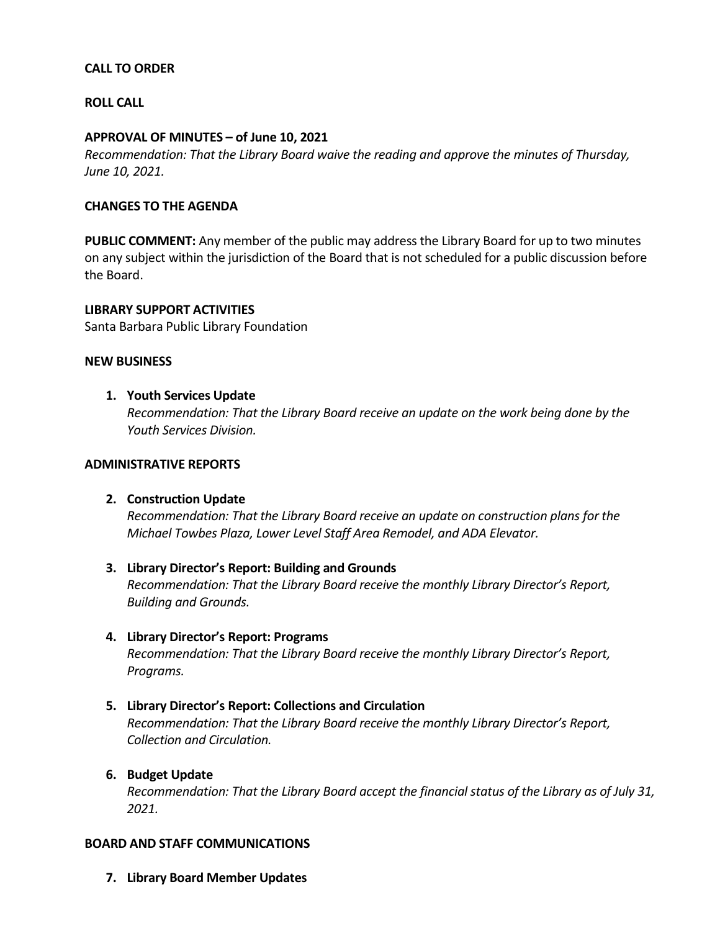## **CALL TO ORDER**

## **ROLL CALL**

#### **APPROVAL OF MINUTES – of June 10, 2021**

*Recommendation: That the Library Board waive the reading and approve the minutes of Thursday, June 10, 2021.*

## **CHANGES TO THE AGENDA**

**PUBLIC COMMENT:** Any member of the public may address the Library Board for up to two minutes on any subject within the jurisdiction of the Board that is not scheduled for a public discussion before the Board.

## **LIBRARY SUPPORT ACTIVITIES**

Santa Barbara Public Library Foundation

#### **NEW BUSINESS**

## **1. Youth Services Update**

*Recommendation: That the Library Board receive an update on the work being done by the Youth Services Division.* 

#### **ADMINISTRATIVE REPORTS**

## **2. Construction Update**

*Recommendation: That the Library Board receive an update on construction plans for the Michael Towbes Plaza, Lower Level Staff Area Remodel, and ADA Elevator.*

## **3. Library Director's Report: Building and Grounds**

*Recommendation: That the Library Board receive the monthly Library Director's Report, Building and Grounds.*

#### **4. Library Director's Report: Programs**

*Recommendation: That the Library Board receive the monthly Library Director's Report, Programs.*

## **5. Library Director's Report: Collections and Circulation**

*Recommendation: That the Library Board receive the monthly Library Director's Report, Collection and Circulation.*

## **6. Budget Update**

*Recommendation: That the Library Board accept the financial status of the Library as of July 31, 2021.* 

#### **BOARD AND STAFF COMMUNICATIONS**

**7. Library Board Member Updates**